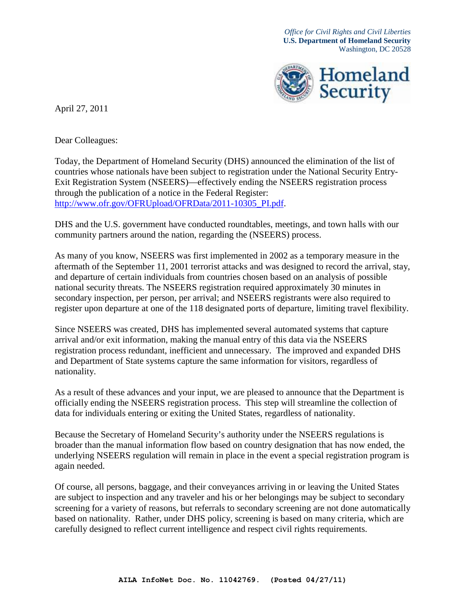*Office for Civil Rights and Civil Liberties* **U.S. Department of Homeland Security** Washington, DC 20528



April 27, 2011

Dear Colleagues:

Today, the Department of Homeland Security (DHS) announced the elimination of the list of countries whose nationals have been subject to registration under the National Security Entry-Exit Registration System (NSEERS)—effectively ending the NSEERS registration process through the publication of a notice in the Federal Register: [http://www.ofr.gov/OFRUpload/OFRData/2011-10305\\_PI.pdf.](http://www.ofr.gov/OFRUpload/OFRData/2011-10305_PI.pdf)

DHS and the U.S. government have conducted roundtables, meetings, and town halls with our community partners around the nation, regarding the (NSEERS) process.

As many of you know, NSEERS was first implemented in 2002 as a temporary measure in the aftermath of the September 11, 2001 terrorist attacks and was designed to record the arrival, stay, and departure of certain individuals from countries chosen based on an analysis of possible national security threats. The NSEERS registration required approximately 30 minutes in secondary inspection, per person, per arrival; and NSEERS registrants were also required to register upon departure at one of the 118 designated ports of departure, limiting travel flexibility.

Since NSEERS was created, DHS has implemented several automated systems that capture arrival and/or exit information, making the manual entry of this data via the NSEERS registration process redundant, inefficient and unnecessary. The improved and expanded DHS and Department of State systems capture the same information for visitors, regardless of nationality.

As a result of these advances and your input, we are pleased to announce that the Department is officially ending the NSEERS registration process. This step will streamline the collection of data for individuals entering or exiting the United States, regardless of nationality.

Because the Secretary of Homeland Security's authority under the NSEERS regulations is broader than the manual information flow based on country designation that has now ended, the underlying NSEERS regulation will remain in place in the event a special registration program is again needed.

Of course, all persons, baggage, and their conveyances arriving in or leaving the United States are subject to inspection and any traveler and his or her belongings may be subject to secondary screening for a variety of reasons, but referrals to secondary screening are not done automatically based on nationality. Rather, under DHS policy, screening is based on many criteria, which are carefully designed to reflect current intelligence and respect civil rights requirements.